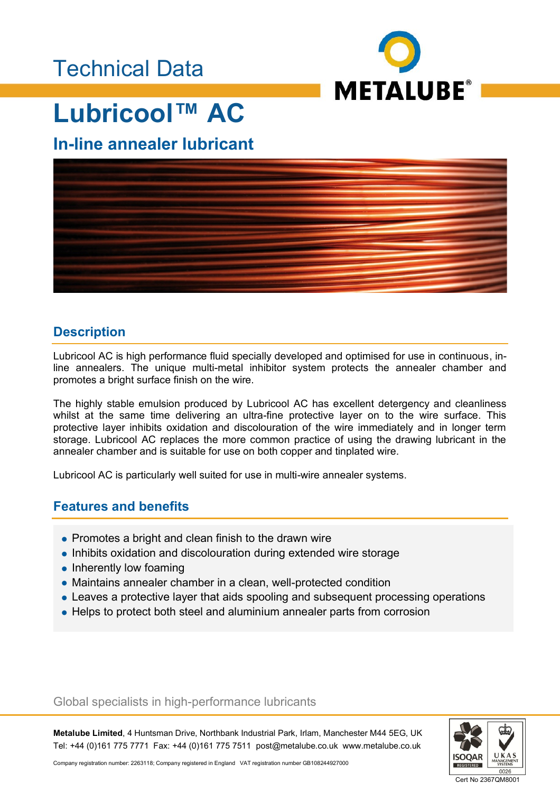## Technical Data



# **Lubricool™ AC**

### **In-line annealer lubricant**



### **Description**

Lubricool AC is high performance fluid specially developed and optimised for use in continuous, inline annealers. The unique multi-metal inhibitor system protects the annealer chamber and promotes a bright surface finish on the wire.

The highly stable emulsion produced by Lubricool AC has excellent detergency and cleanliness whilst at the same time delivering an ultra-fine protective layer on to the wire surface. This protective layer inhibits oxidation and discolouration of the wire immediately and in longer term storage. Lubricool AC replaces the more common practice of using the drawing lubricant in the annealer chamber and is suitable for use on both copper and tinplated wire.

Lubricool AC is particularly well suited for use in multi-wire annealer systems.

### **Features and benefits**

- Promotes a bright and clean finish to the drawn wire
- Inhibits oxidation and discolouration during extended wire storage
- Inherently low foaming
- Maintains annealer chamber in a clean, well-protected condition
- Leaves a protective layer that aids spooling and subsequent processing operations
- Helps to protect both steel and aluminium annealer parts from corrosion

#### Global specialists in high-performance lubricants

**Metalube Limited**, 4 Huntsman Drive, Northbank Industrial Park, Irlam, Manchester M44 5EG, UK Tel: +44 (0)161 775 7771 Fax: +44 (0)161 775 7511 post@metalube.co.uk www.metalube.co.uk



Company registration number: 2263118; Company registered in England VAT registration number GB108244927000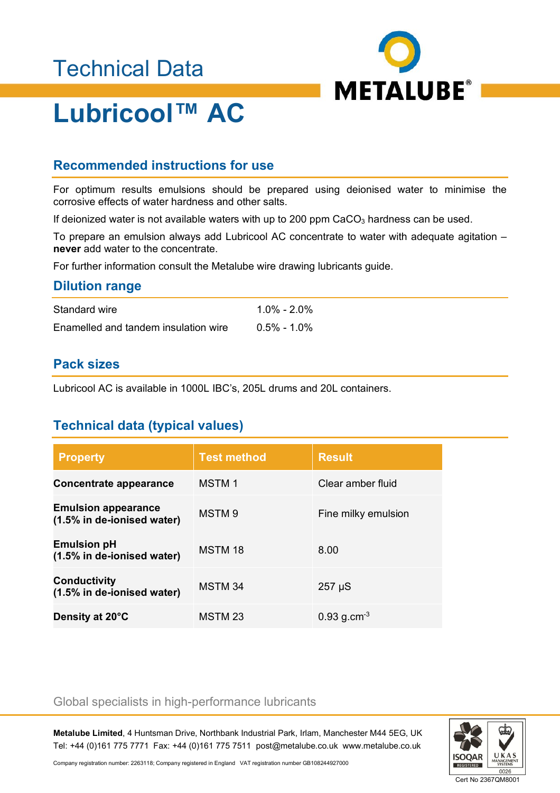# Technical Data



# **Lubricool™ AC**

### **Recommended instructions for use**

For optimum results emulsions should be prepared using deionised water to minimise the corrosive effects of water hardness and other salts.

If deionized water is not available waters with up to 200 ppm  $CaCO<sub>3</sub>$  hardness can be used.

To prepare an emulsion always add Lubricool AC concentrate to water with adequate agitation – **never** add water to the concentrate.

For further information consult the Metalube wire drawing lubricants guide.

#### **Dilution range**

| Standard wire                        | 1.0% - 2.0%    |
|--------------------------------------|----------------|
| Enamelled and tandem insulation wire | $0.5\%$ - 1.0% |

#### **Pack sizes**

Lubricool AC is available in 1000L IBC's, 205L drums and 20L containers.

### **Technical data (typical values)**

| <b>Property</b>                                          | <b>Test method</b> | <b>Result</b>             |
|----------------------------------------------------------|--------------------|---------------------------|
| <b>Concentrate appearance</b>                            | <b>MSTM1</b>       | Clear amber fluid         |
| <b>Emulsion appearance</b><br>(1.5% in de-ionised water) | MSTM <sub>9</sub>  | Fine milky emulsion       |
| <b>Emulsion pH</b><br>(1.5% in de-ionised water)         | MSTM 18            | 8.00                      |
| <b>Conductivity</b><br>(1.5% in de-ionised water)        | MSTM 34            | $257 \mu S$               |
| Density at 20°C                                          | MSTM 23            | $0.93$ g.cm <sup>-3</sup> |

#### Global specialists in high-performance lubricants

**Metalube Limited**, 4 Huntsman Drive, Northbank Industrial Park, Irlam, Manchester M44 5EG, UK Tel: +44 (0)161 775 7771 Fax: +44 (0)161 775 7511 post@metalube.co.uk www.metalube.co.uk



Company registration number: 2263118; Company registered in England VAT registration number GB108244927000